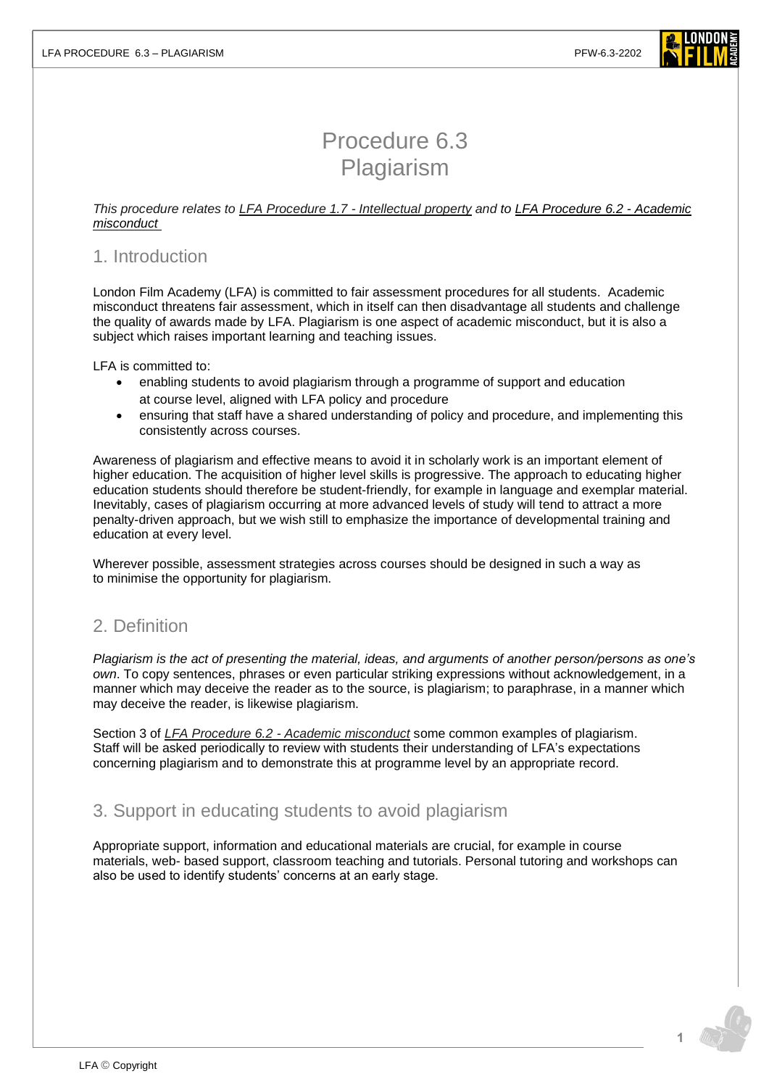

# Procedure 6.3 Plagiarism

#### *This procedure relates to [LFA Procedure 1.7 -](https://www.londonfilmacademy.com/LFA_Procedure_1.4_Intellectual_property.pdf) Intellectual property and to [LFA Procedure 6.2 -](https://www.londonfilmacademy.com/LFA_Procedure_6.2_Academic_misconduct.pdf) Academic [misconduct](https://www.londonfilmacademy.com/LFA_Procedure_6.2_Academic_misconduct.pdf)*

### 1. Introduction

London Film Academy (LFA) is committed to fair assessment procedures for all students. Academic misconduct threatens fair assessment, which in itself can then disadvantage all students and challenge the quality of awards made by LFA. Plagiarism is one aspect of academic misconduct, but it is also a subject which raises important learning and teaching issues.

LFA is committed to:

- enabling students to avoid plagiarism through a programme of support and education at course level, aligned with LFA policy and procedure
- ensuring that staff have a shared understanding of policy and procedure, and implementing this consistently across courses.

Awareness of plagiarism and effective means to avoid it in scholarly work is an important element of higher education. The acquisition of higher level skills is progressive. The approach to educating higher education students should therefore be student-friendly, for example in language and exemplar material. Inevitably, cases of plagiarism occurring at more advanced levels of study will tend to attract a more penalty-driven approach, but we wish still to emphasize the importance of developmental training and education at every level.

Wherever possible, assessment strategies across courses should be designed in such a way as to minimise the opportunity for plagiarism.

### 2. Definition

*Plagiarism is the act of presenting the material, ideas, and arguments of another person/persons as one's own*. To copy sentences, phrases or even particular striking expressions without acknowledgement, in a manner which may deceive the reader as to the source, is plagiarism; to paraphrase, in a manner which may deceive the reader, is likewise plagiarism.

Section 3 of *LFA Procedure 6.2 - [Academic misconduct](https://www.londonfilmacademy.com/LFA_Procedure_6.2_Academc_misconduct.pdf)* some common examples of plagiarism. Staff will be asked periodically to review with students their understanding of LFA's expectations concerning plagiarism and to demonstrate this at programme level by an appropriate record.

## 3. Support in educating students to avoid plagiarism

Appropriate support, information and educational materials are crucial, for example in course materials, web- based support, classroom teaching and tutorials. Personal tutoring and workshops can also be used to identify students' concerns at an early stage.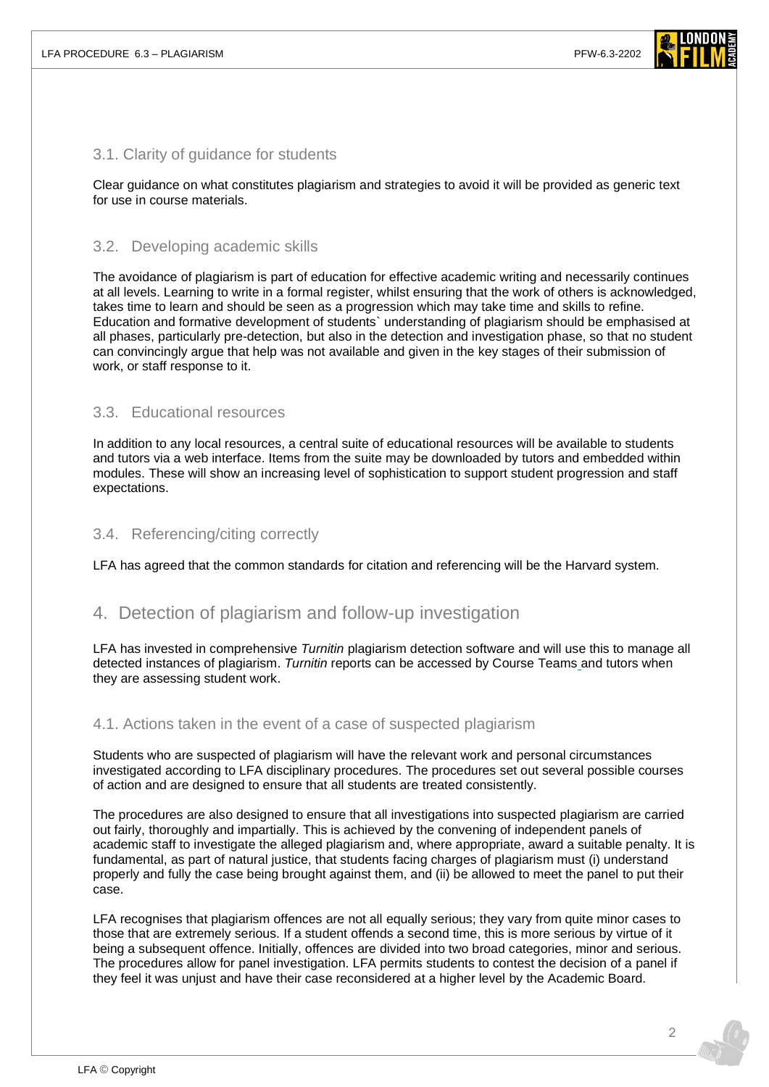

#### 3.1. Clarity of guidance for students

Clear guidance on what constitutes plagiarism and strategies to avoid it will be provided as generic text for use in course materials.

#### 3.2. Developing academic skills

The avoidance of plagiarism is part of education for effective academic writing and necessarily continues at all levels. Learning to write in a formal register, whilst ensuring that the work of others is acknowledged, takes time to learn and should be seen as a progression which may take time and skills to refine. Education and formative development of students` understanding of plagiarism should be emphasised at all phases, particularly pre-detection, but also in the detection and investigation phase, so that no student can convincingly argue that help was not available and given in the key stages of their submission of work, or staff response to it.

### 3.3. Educational resources

In addition to any local resources, a central suite of educational resources will be available to students and tutors via a web interface. Items from the suite may be downloaded by tutors and embedded within modules. These will show an increasing level of sophistication to support student progression and staff expectations.

#### 3.4. Referencing/citing correctly

LFA has agreed that the common standards for citation and referencing will be the Harvard system.

### 4. Detection of plagiarism and follow-up investigation

LFA has invested in comprehensive *Turnitin* plagiarism detection software and will use this to manage all detected instances of plagiarism. *Turnitin* reports can be accessed by Course Teams and tutors when they are assessing student work.

### 4.1. Actions taken in the event of a case of suspected plagiarism

Students who are suspected of plagiarism will have the relevant work and personal circumstances investigated according to LFA disciplinary procedures. The procedures set out several possible courses of action and are designed to ensure that all students are treated consistently.

The procedures are also designed to ensure that all investigations into suspected plagiarism are carried out fairly, thoroughly and impartially. This is achieved by the convening of independent panels of academic staff to investigate the alleged plagiarism and, where appropriate, award a suitable penalty. It is fundamental, as part of natural justice, that students facing charges of plagiarism must (i) understand properly and fully the case being brought against them, and (ii) be allowed to meet the panel to put their case.

LFA recognises that plagiarism offences are not all equally serious; they vary from quite minor cases to those that are extremely serious. If a student offends a second time, this is more serious by virtue of it being a subsequent offence. Initially, offences are divided into two broad categories, minor and serious. The procedures allow for panel investigation. LFA permits students to contest the decision of a panel if they feel it was unjust and have their case reconsidered at a higher level by the Academic Board.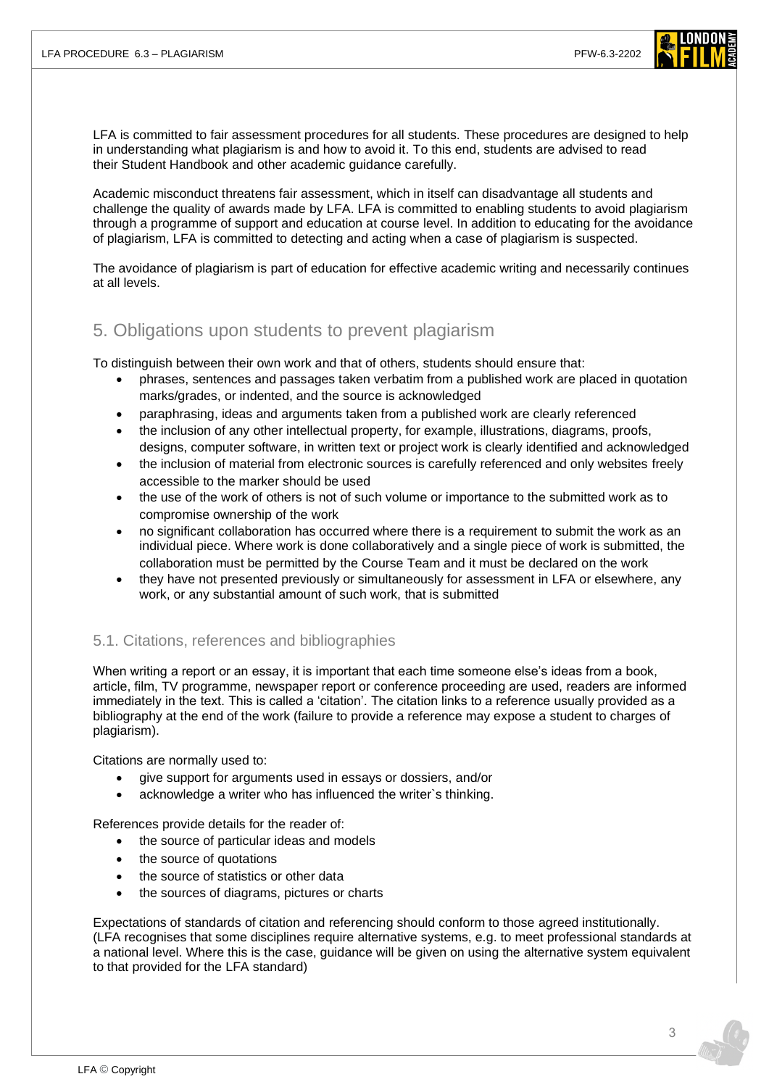

LFA is committed to fair assessment procedures for all students. These procedures are designed to help in understanding what plagiarism is and how to avoid it. To this end, students are advised to read their Student Handbook and other academic guidance carefully.

Academic misconduct threatens fair assessment, which in itself can disadvantage all students and challenge the quality of awards made by LFA. LFA is committed to enabling students to avoid plagiarism through a programme of support and education at course level. In addition to educating for the avoidance of plagiarism, LFA is committed to detecting and acting when a case of plagiarism is suspected.

The avoidance of plagiarism is part of education for effective academic writing and necessarily continues at all levels.

# 5. Obligations upon students to prevent plagiarism

To distinguish between their own work and that of others, students should ensure that:

- phrases, sentences and passages taken verbatim from a published work are placed in quotation marks/grades, or indented, and the source is acknowledged
- paraphrasing, ideas and arguments taken from a published work are clearly referenced
- the inclusion of any other intellectual property, for example, illustrations, diagrams, proofs, designs, computer software, in written text or project work is clearly identified and acknowledged
- the inclusion of material from electronic sources is carefully referenced and only websites freely accessible to the marker should be used
- the use of the work of others is not of such volume or importance to the submitted work as to compromise ownership of the work
- no significant collaboration has occurred where there is a requirement to submit the work as an individual piece. Where work is done collaboratively and a single piece of work is submitted, the collaboration must be permitted by the Course Team and it must be declared on the work
- they have not presented previously or simultaneously for assessment in LFA or elsewhere, any work, or any substantial amount of such work, that is submitted

### 5.1. Citations, references and bibliographies

When writing a report or an essay, it is important that each time someone else's ideas from a book, article, film, TV programme, newspaper report or conference proceeding are used, readers are informed immediately in the text. This is called a 'citation'. The citation links to a reference usually provided as a bibliography at the end of the work (failure to provide a reference may expose a student to charges of plagiarism).

Citations are normally used to:

- give support for arguments used in essays or dossiers, and/or
- acknowledge a writer who has influenced the writer's thinking.

References provide details for the reader of:

- the source of particular ideas and models
- the source of quotations
- the source of statistics or other data
- the sources of diagrams, pictures or charts

Expectations of standards of citation and referencing should conform to those agreed institutionally. (LFA recognises that some disciplines require alternative systems, e.g. to meet professional standards at a national level. Where this is the case, guidance will be given on using the alternative system equivalent to that provided for the LFA standard)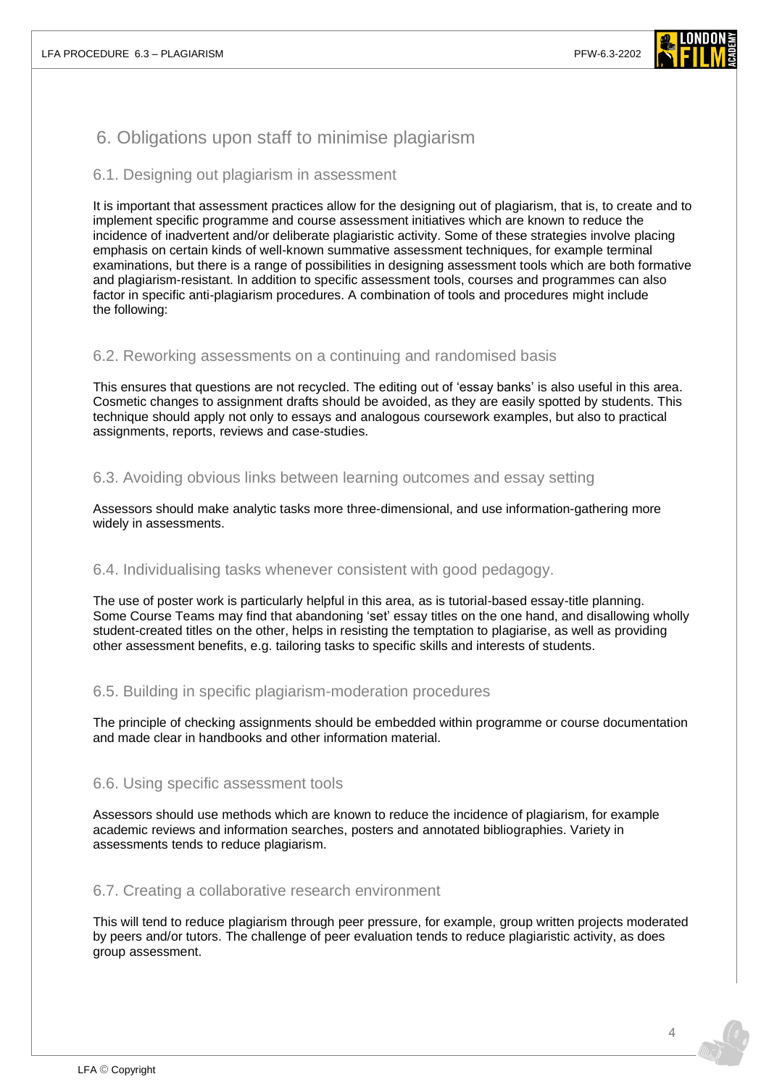

# 6. Obligations upon staff to minimise plagiarism

### 6.1. Designing out plagiarism in assessment

It is important that assessment practices allow for the designing out of plagiarism, that is, to create and to implement specific programme and course assessment initiatives which are known to reduce the incidence of inadvertent and/or deliberate plagiaristic activity. Some of these strategies involve placing emphasis on certain kinds of well-known summative assessment techniques, for example terminal examinations, but there is a range of possibilities in designing assessment tools which are both formative and plagiarism-resistant. In addition to specific assessment tools, courses and programmes can also factor in specific anti-plagiarism procedures. A combination of tools and procedures might include the following:

### 6.2. Reworking assessments on a continuing and randomised basis

This ensures that questions are not recycled. The editing out of 'essay banks' is also useful in this area. Cosmetic changes to assignment drafts should be avoided, as they are easily spotted by students. This technique should apply not only to essays and analogous coursework examples, but also to practical assignments, reports, reviews and case-studies.

### 6.3. Avoiding obvious links between learning outcomes and essay setting

Assessors should make analytic tasks more three-dimensional, and use information-gathering more widely in assessments.

### 6.4. Individualising tasks whenever consistent with good pedagogy.

The use of poster work is particularly helpful in this area, as is tutorial-based essay-title planning. Some Course Teams may find that abandoning 'set' essay titles on the one hand, and disallowing wholly student-created titles on the other, helps in resisting the temptation to plagiarise, as well as providing other assessment benefits, e.g. tailoring tasks to specific skills and interests of students.

### 6.5. Building in specific plagiarism-moderation procedures

The principle of checking assignments should be embedded within programme or course documentation and made clear in handbooks and other information material.

### 6.6. Using specific assessment tools

Assessors should use methods which are known to reduce the incidence of plagiarism, for example academic reviews and information searches, posters and annotated bibliographies. Variety in assessments tends to reduce plagiarism.

### 6.7. Creating a collaborative research environment

This will tend to reduce plagiarism through peer pressure, for example, group written projects moderated by peers and/or tutors. The challenge of peer evaluation tends to reduce plagiaristic activity, as does group assessment.